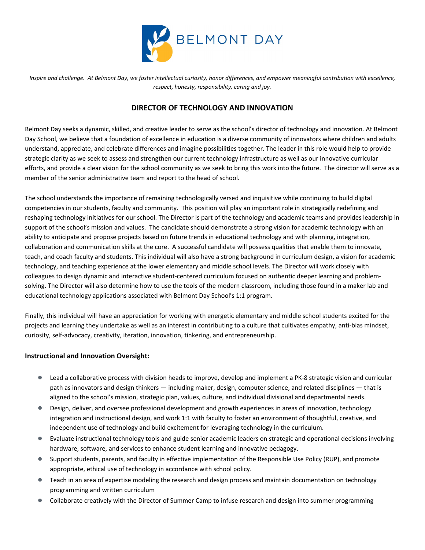

*Inspire and challenge. At Belmont Day, we foster intellectual curiosity, honor differences, and empower meaningful contribution with excellence, respect, honesty, responsibility, caring and joy.*

## **DIRECTOR OF TECHNOLOGY AND INNOVATION**

Belmont Day seeks a dynamic, skilled, and creative leader to serve as the school's director of technology and innovation. At Belmont Day School, we believe that a foundation of excellence in education is a diverse community of innovators where children and adults understand, appreciate, and celebrate differences and imagine possibilities together. The leader in this role would help to provide strategic clarity as we seek to assess and strengthen our current technology infrastructure as well as our innovative curricular efforts, and provide a clear vision for the school community as we seek to bring this work into the future. The director will serve as a member of the senior administrative team and report to the head of school.

The school understands the importance of remaining technologically versed and inquisitive while continuing to build digital competencies in our students, faculty and community. This position will play an important role in strategically redefining and reshaping technology initiatives for our school. The Director is part of the technology and academic teams and provides leadership in support of the school's mission and values. The candidate should demonstrate a strong vision for academic technology with an ability to anticipate and propose projects based on future trends in educational technology and with planning, integration, collaboration and communication skills at the core. A successful candidate will possess qualities that enable them to innovate, teach, and coach faculty and students. This individual will also have a strong background in curriculum design, a vision for academic technology, and teaching experience at the lower elementary and middle school levels. The Director will work closely with colleagues to design dynamic and interactive student-centered curriculum focused on authentic deeper learning and problemsolving. The Director will also determine how to use the tools of the modern classroom, including those found in a maker lab and educational technology applications associated with Belmont Day School's 1:1 program.

Finally, this individual will have an appreciation for working with energetic elementary and middle school students excited for the projects and learning they undertake as well as an interest in contributing to a culture that cultivates empathy, anti-bias mindset, curiosity, self-advocacy, creativity, iteration, innovation, tinkering, and entrepreneurship.

## **Instructional and Innovation Oversight:**

- Lead a collaborative process with division heads to improve, develop and implement a PK-8 strategic vision and curricular path as innovators and design thinkers — including maker, design, computer science, and related disciplines — that is aligned to the school's mission, strategic plan, values, culture, and individual divisional and departmental needs.
- Design, deliver, and oversee professional development and growth experiences in areas of innovation, technology integration and instructional design, and work 1:1 with faculty to foster an environment of thoughtful, creative, and independent use of technology and build excitement for leveraging technology in the curriculum.
- Evaluate instructional technology tools and guide senior academic leaders on strategic and operational decisions involving hardware, software, and services to enhance student learning and innovative pedagogy.
- Support students, parents, and faculty in effective implementation of the Responsible Use Policy (RUP), and promote appropriate, ethical use of technology in accordance with school policy.
- Teach in an area of expertise modeling the research and design process and maintain documentation on technology programming and written curriculum
- Collaborate creatively with the Director of Summer Camp to infuse research and design into summer programming